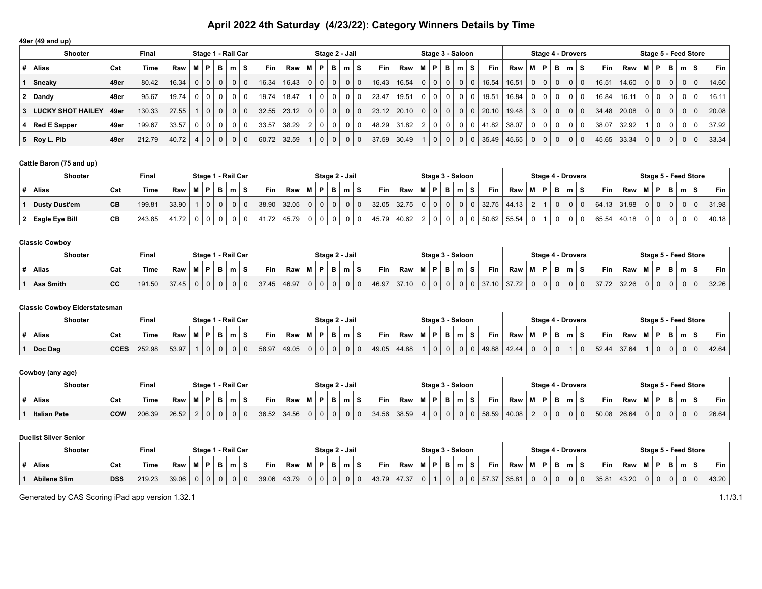# **April 2022 4th Saturday (4/23/22): Category Winners Details by Time**

## **49er (49 and up)**

| <b>Shooter</b>           |      | Final  |                          |                | Stage 1 - Rail Car |              |                |            |                     |     |                 | Stage 2 - Jail |     |            |                                     |                          |                | Stage 3 - Saloon |                |                           |            |       |               | Stage 4 - Drovers |           |       |               |                |            | Stage 5 - Feed Store |                |   |       |
|--------------------------|------|--------|--------------------------|----------------|--------------------|--------------|----------------|------------|---------------------|-----|-----------------|----------------|-----|------------|-------------------------------------|--------------------------|----------------|------------------|----------------|---------------------------|------------|-------|---------------|-------------------|-----------|-------|---------------|----------------|------------|----------------------|----------------|---|-------|
| Alias                    | Cat  | Time   | $Raw \mid M \mid P \mid$ |                | B                  | ∴m∴          | s.             | <b>Fin</b> | <b>Raw</b>          | M P |                 | B I            | m S |            | <b>Fin</b>                          | $Raw \mid M \mid P \mid$ |                | BI m I S         |                |                           | <b>Fin</b> | Raw   | M I           | P   B   m   S     |           | Fin   | Raw           | м              | P          | в                    | m              | s | Fin I |
| Sneaky                   | 49er | 80.42  | 16.34                    | 0 <sup>1</sup> | $\Omega$           | $\mathbf{0}$ | 0 <sup>1</sup> | 16.34      | 16.43               |     | $0 \mid 0 \mid$ | $\Omega$       |     | 0 0        | 16.43                               | 16.54                    | 0 <sup>1</sup> |                  |                |                           | 16.54      | 16.51 | $0 0 0 0 1$   |                   | $0$ 0     | 16.51 | 14.60         |                | 0 0        | 0 <sup>1</sup>       |                |   | 14.60 |
| Dandy                    | 49er | 95.67  | 19.74                    | 0 <sup>1</sup> |                    |              |                | 19.74      | 18.47               |     |                 | $\Omega$       |     | $0$   0    | 23.47                               | 19.51                    |                |                  |                |                           | 19.51      | 16.84 | $0   0   0  $ |                   | $0$   $0$ | 16.84 | 16.11         |                | $\Omega$   |                      |                |   | 16.11 |
| <b>LUCKY SHOT HAILEY</b> | 49er | 130.33 | 27.55                    | 0 <sup>1</sup> | $\Omega$           | $\mathbf{0}$ |                | 32.55      | $23.12$   0   0   0 |     |                 |                |     | 0 0        | $23.12$ $20.10$ 0 0 0 0 0 0 0 20.10 |                          |                |                  |                |                           |            | 19.48 | 3 0 0         |                   | $0$   $0$ |       | 34.48   20.08 |                | 0 0        | 0 <sup>1</sup>       | 0 <sup>1</sup> |   | 20.08 |
| $4 \mid$ Red E Sapper    | 49er | 199.67 | 33.57                    | 0 <sup>1</sup> | $\Omega$           |              |                | 33.57      | 38.29               |     | 2 0             | 0 <sup>1</sup> |     | $0 \mid 0$ | 48.29                               | 31.82                    |                | 2 0 0            | 0 <sup>1</sup> |                           | 0   41.82  | 38.07 | $0   0   0  $ |                   | 0   0     | 38.07 | 32.92         |                | $1 \mid 0$ |                      |                |   | 37.92 |
| $5 \mid$ Roy L. Pib      | 49er | 212.79 | 40.72                    | $\Omega$       | 0 <sup>1</sup>     | $\Omega$     |                | 60.72      | 32.59               |     | 0 <sup>1</sup>  | 0 <sup>1</sup> |     | 0 0        | 37.59                               | 30.49                    |                | $0$ 0            | 0 <sup>1</sup> | $^{\prime}$ 0 $^{\prime}$ | 35.49      | 45.65 | $0 0 0 0 0$   |                   | 0 0       |       | 45.65 33.34   | 0 <sup>1</sup> | $\Omega$   | 0 <sup>1</sup>       |                |   | 33.34 |

#### **Cattle Baron (75 and up)**

| Shooter          |     | Final       |       |                |                | Stage 1 - Rail Car |          |             |                                               |                |                | Stage 2 - Jail |          |            |                          |                | Stage 3 - Saloon |  |                     |     |     |            |       |                | Stage 4 - Drovers |             |        |          |                |   |     | Stage 5 - Feed Store |       |
|------------------|-----|-------------|-------|----------------|----------------|--------------------|----------|-------------|-----------------------------------------------|----------------|----------------|----------------|----------|------------|--------------------------|----------------|------------------|--|---------------------|-----|-----|------------|-------|----------------|-------------------|-------------|--------|----------|----------------|---|-----|----------------------|-------|
| Alias            | Cat | <b>Time</b> | Raw   |                |                | M   P   B   m   S  |          | <b>Fin</b>  | $Raw \mid M \mid P \mid B \mid m \mid S \mid$ |                |                |                |          | <b>Fin</b> | $Raw \mid M \mid P \mid$ |                | B m              |  | Fin $\vert$         | Raw |     | M P        | - B I | m <sub>1</sub> | s.                | Fin $\vert$ | Raw    | $M$ $P$  |                | B | m∣S |                      | Fin   |
| Dusty Dust'em    | CВ  | 199.81      | 33.90 | $\overline{0}$ | 0 <sup>1</sup> |                    | $\Omega$ | 38.90 32.05 |                                               | 0 <sup>1</sup> | 0 <sup>1</sup> |                | $\Omega$ |            | $32.05$ 32.75            | 0 <sup>1</sup> | $0$ $0$ $1$      |  | $0$   32.75   44.13 |     |     | $2 \mid 1$ |       |                | $0 \mid 0$        | 64.13 31.98 |        | $\Omega$ | 0 <sup>1</sup> |   |     |                      | 31.98 |
| 2 Eagle Eye Bill | CВ  | 243.85      | 41.72 |                | 0 <sup>1</sup> |                    |          | 41.72       | 45.79                                         |                |                |                |          |            | 45.79 40.62              | $\Omega$       | 0 <sup>1</sup>   |  | $0$   50.62   55.54 |     | ∩ ⊥ |            |       |                | $\Omega$          | 65.54       | 140.18 |          |                |   |     |                      | 40.18 |

### **Classic Cowboy**

| <b>Shooter</b> |     | Final             |                          |                | Stage 1 - Rail Car |       |       |    |                |            | Stage 2 - Jail |                |       |                                                                | Stage 3 - Saloon |                |          |   |            |                     | Stage 4 - Drovers |       |     |                |             |     |  |               |          | Stage 5 - Feed Store |       |
|----------------|-----|-------------------|--------------------------|----------------|--------------------|-------|-------|----|----------------|------------|----------------|----------------|-------|----------------------------------------------------------------|------------------|----------------|----------|---|------------|---------------------|-------------------|-------|-----|----------------|-------------|-----|--|---------------|----------|----------------------|-------|
| Alias          | Cat | Time <sub>1</sub> | $Raw \mid M \mid P \mid$ |                | ∣B I m I S         | Fin   | Raw   | мı | D              | <b>B</b> I | m              |                | Fin.  | $\mathsf{Raw} \mid \mathsf{M} \mid \mathsf{P} \mid \mathsf{B}$ |                  |                |          | m | <b>Fin</b> | Raw                 | <b>MP</b>         | - B I | m∣S |                | Fin         | Raw |  | M   P   B   m |          |                      | Fin   |
| Asa Smith      | CC  | 191.50            | 37.45                    | $\overline{0}$ | 0 <sup>1</sup>     | 37.45 | 46.97 |    | 0 <sup>1</sup> | $\Omega$   |                | 0 <sup>1</sup> | 46.97 | 37.10                                                          |                  | 0 <sup>1</sup> | $\Omega$ |   |            | $0$   37.10   37.72 | 0 <sup>1</sup>    |       |     | $\overline{0}$ | 37.72 32.26 |     |  |               | $\Omega$ | $\Omega$             | 32.26 |

#### **Classic Cowboy Elderstatesman**

| <b>Shooter</b> |             | Final  |       |  | Stage 1 - Rail Car |       |       |            |   |   | Stage 2 - Jail |       |       | Stage 3 - Saloon |   |       |       | <b>Stage 4 - Drovers</b> |            |   |          |       |       | Stage 5 - Feed Store |                |   |          |       |
|----------------|-------------|--------|-------|--|--------------------|-------|-------|------------|---|---|----------------|-------|-------|------------------|---|-------|-------|--------------------------|------------|---|----------|-------|-------|----------------------|----------------|---|----------|-------|
| <b>Alias</b>   | Cat         | Time.  | Raw   |  |                    | Fin   | Raw   | <b>B.A</b> | D | в | m              | Fin   | Raw   | M   P            | m | Fin   | Raw   | $\mathbf{D}$             | <b>B</b> I | m | ∣S.      | Fin   | Raw   | <b>BA</b>            | $\blacksquare$ | B | m        | Fin   |
| Doc Dag        | <b>CCES</b> | 252.98 | 53.97 |  |                    | 58.97 | 49.05 |            |   |   |                | 49.05 | 44.88 |                  |   | 49.88 | 42.44 |                          |            |   | $\Omega$ | 52.44 | 37.64 |                      | $\Omega$       |   | $\Omega$ | 42.64 |

#### **Cowboy (any age)**

| Shooter             |            | Final  |       |    |   | Stage 1 - Rail Car |                  |         |    | Stage 2 - Jail |                |            |       |        | Stage 3 - Saloon |   |       |       | Stage 4 - Drovers |   |          |               |     | Stage 5 - Feed Store |       |                |   |       |
|---------------------|------------|--------|-------|----|---|--------------------|------------------|---------|----|----------------|----------------|------------|-------|--------|------------------|---|-------|-------|-------------------|---|----------|---------------|-----|----------------------|-------|----------------|---|-------|
| <b>Alias</b>        | Cat        | Time.  | Raw   | мI | n |                    | <b>Fin</b><br>S. | Raw ∣ M | P. | в              | m <sub>1</sub> | <b>Fin</b> | Raw   | ∠∣M∣P' |                  | m | Fin   | Raw   | M   P   B         | m |          | Fin           | Raw |                      | .IPBI | m <sub>1</sub> |   | Fin   |
| <b>Italian Pete</b> | <b>COW</b> | 206.39 | 26.52 |    |   |                    | 36.52            | 34.56   |    |                |                | 34.56      | 38.59 |        |                  | 0 | 58.59 | 40.08 | 0 <sup>1</sup>    |   | $\Omega$ | $50.08$ 26.64 |     |                      |       | $\Omega$       | 0 | 26.64 |

### **Duelist Silver Senior**

| <b>Shooter</b>      |            | Final  |       |         | Stage 1 - Rail Car |       |         | Stage 2 - Jail |   |   |       |       |         | Stage 3 - Saloon |          |       |       |       | Stage 4 - Drovers |   |     |       |       |                  |  |             | Stage 5 - Feed Store |         |
|---------------------|------------|--------|-------|---------|--------------------|-------|---------|----------------|---|---|-------|-------|---------|------------------|----------|-------|-------|-------|-------------------|---|-----|-------|-------|------------------|--|-------------|----------------------|---------|
| Alias               | Cat        | Гіmе   | Raw ' | . p. l. | m                  | Fin   | Raw   M | D.             | в | m | Fin.  | Raw   | $M$ $P$ |                  | m        | Fin L | Raw   | M   P |                   | в | m∣S | Fin   | Raw   | <b>BA</b><br>IVI |  | $P$ $B$ $m$ | $\epsilon$           | Fin $ $ |
| <b>Abilene Slim</b> | <b>DSS</b> | 219.23 | 39.06 |         |                    | 39.06 | 43.79   |                |   |   | 43.79 | 47.37 |         |                  | $\Omega$ | 57.37 | 35.81 |       |                   |   | 0 0 | 35.81 | 43.20 |                  |  |             |                      | 43.20   |

Generated by CAS Scoring iPad app version 1.32.1 1.1/3.1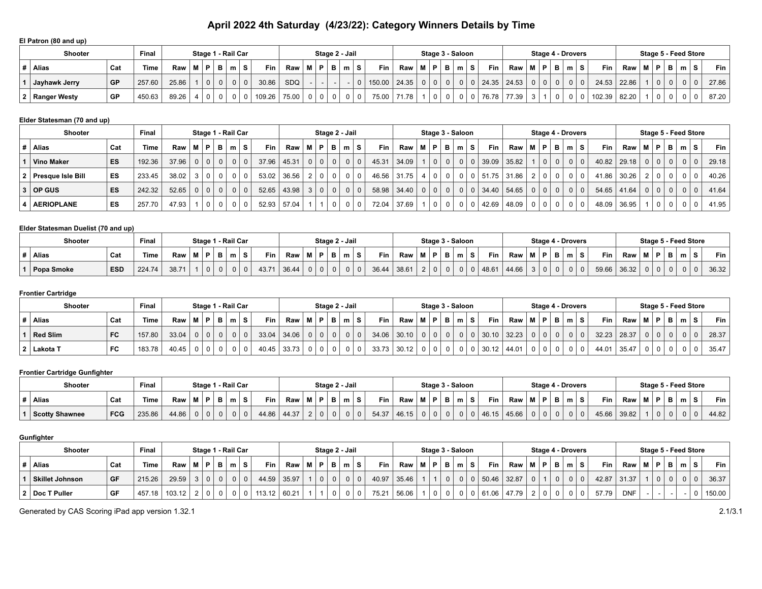# **April 2022 4th Saturday (4/23/22): Category Winners Details by Time**

#### **El Patron (80 and up)**

| <b>Shooter</b>   |           | Final  |                          |                |            | Stage 1 - Rail Car |            |            |       |  | Stage 2 - Jail |            |       |                | Stage 3 - Saloon |          |       |             |          |           | Stage 4 - Drovers |              |             |     |   | Stage 5 - Feed Store |       |   |       |
|------------------|-----------|--------|--------------------------|----------------|------------|--------------------|------------|------------|-------|--|----------------|------------|-------|----------------|------------------|----------|-------|-------------|----------|-----------|-------------------|--------------|-------------|-----|---|----------------------|-------|---|-------|
| Alias            | Cat       | Time   | $Raw \mid M \mid P \mid$ |                | <b>B</b> I | m∣S                | <b>Fin</b> | <b>Raw</b> | M   P |  | B I m I        | <b>Fin</b> | Raw   | <b>MP</b>      | B<br>. ma '      |          | Fin I | Raw         | M        |           | P B m             | <b>Fin</b>   | Raw         | RA. | D | в                    | $m$ . | s | Fin   |
| Jayhawk Jerry    | <b>GP</b> | 257.60 | 25.86                    | 0 <sup>1</sup> |            |                    | 30.86      | SDQ        |       |  |                | 150.00     | 24.35 | 0 <sup>1</sup> | $\Omega$         | $\Omega$ |       | 24.35 24.53 | $\Omega$ | $0$ $0$ , |                   |              | 24.53 22.86 |     |   |                      |       |   | 27.86 |
| 2   Ranger Westy | GP        | 450.63 | 89.26                    |                |            |                    | 109.26     | 75.00      |       |  |                | 75.00      | 71.78 |                |                  |          | 76.78 | 77.39       |          | $\Omega$  |                   | 102.39 82.20 |             |     |   |                      |       |   | 87.20 |

#### **Elder Statesman (70 and up)**

|   | <b>Shooter</b>      |     | Final       |             |      |                |                | Stage 1 - Rail Car |                         |               | Stage 2 - Jail  |                |                |            |             |                                               |                | Stage 3 - Saloon |     |        |               |           |                | Stage 4 - Drovers |            |          |               |                 |       |                | Stage 5 - Feed Store |                |                |       |
|---|---------------------|-----|-------------|-------------|------|----------------|----------------|--------------------|-------------------------|---------------|-----------------|----------------|----------------|------------|-------------|-----------------------------------------------|----------------|------------------|-----|--------|---------------|-----------|----------------|-------------------|------------|----------|---------------|-----------------|-------|----------------|----------------------|----------------|----------------|-------|
| # | Alias               | Cat | <b>Time</b> | Raw         | 'M ∖ | P              | - B I          | m                  | Fin<br>-S I             | Raw   M   P   |                 | <b>B</b>       | m ∣S∶          | <b>Fin</b> | Raw I       | M   P                                         | - B I          | m S              |     | Fin I  | Raw           | M   P   B |                |                   | $m \mid S$ |          | Fin L         | Raw             | M   P |                | в                    | m <sub>1</sub> | S.             | Fin I |
|   | <b>Vino Maker</b>   | ES  | 192.36      | $37.96$ 0 0 |      |                |                | $0$   $0$          | 37.96<br>0 <sup>1</sup> | 45.31         | $0$   $0$       |                | 0 <sup>0</sup> | 45.31      | 34.09       | $\begin{array}{c} \circ \\ \circ \end{array}$ | 0 <sup>1</sup> |                  | 0 0 |        | $39.09$ 35.82 |           | 0 <sup>1</sup> | $\Omega$          |            | $\Omega$ |               | $40.82$   29.18 |       | $\overline{0}$ | 0 <sup>1</sup>       | $\Omega$       | $\Omega$       | 29.18 |
|   | 2 Presque Isle Bill | ES  | 233.45      | 38.02       |      | 0 <sup>1</sup> | 0 <sup>1</sup> |                    | $\Omega$                | $53.02$ 36.56 | $0$ 0           |                |                |            | 46.56 31.75 |                                               |                | $\Omega$         |     | 151.75 | 31.86         |           |                |                   |            |          | 41.86         | 30.26           |       | !Ο.            |                      | $\Omega$       | 0              | 40.26 |
|   | OP GUS              | ES  | 242.32      | 52.65       |      | 0 <sup>1</sup> | $\Omega$       | $\Omega$           | $\Omega$                | $52.65$ 43.98 | $0 \mid 0 \mid$ |                | 0 <sup>0</sup> | 58.98      | 34.40       | $\begin{array}{c} \circ \\ \circ \end{array}$ | 0 <sup>1</sup> |                  | 0 0 |        | 34.40 54.65   | $\Omega$  |                | $0$   $0$         |            |          | $54.65$ 41.64 |                 |       | $\setminus 0$  |                      | $\Omega$       | 0 <sup>1</sup> | 41.64 |
|   | <b>AERIOPLANE</b>   | ES  | 257.70      | 47.93       |      | 0 <sup>1</sup> | 0 <sup>1</sup> |                    | 52.93<br>$\Omega$       | 57.04         |                 | $\overline{0}$ |                | 72.04      | 37.69       | $\Omega$                                      | 0 <sup>1</sup> | $\Omega$         |     | 42.69  | 48.09         |           | 0 <sup>1</sup> | - 0               |            |          | 48.09 36.95   |                 |       | 0 <sup>1</sup> | $\Omega$             | $\Omega$       |                | 41.95 |

### **Elder Statesman Duelist (70 and up)**

| Shooter      |            | Final       |       |   |   |     | Stage 1 - Rail Car |            |       |       | Stage 2 - Jail |   |       |       |           |     | Stage 3 - Saloon |         |       |   | Stage 4 - Drovers |   |       |       |       |     |                  |   | Stage 5 - Feed Store |       |
|--------------|------------|-------------|-------|---|---|-----|--------------------|------------|-------|-------|----------------|---|-------|-------|-----------|-----|------------------|---------|-------|---|-------------------|---|-------|-------|-------|-----|------------------|---|----------------------|-------|
| <b>Alias</b> | Cat        | <b>Time</b> | Raw   | м | D | . . | m                  | <b>Fin</b> | Raw   | M   D | в              | m | Fin   | Raw   | .<br>IVI. | : פ | m <sub>1</sub>   | $Fin +$ | Raw   | М | 1 D J<br>в        | m |       | Fin   | Raw   | M I | . <del>. .</del> | B | $\sim$               | Fin   |
| Popa Smoke   | <b>ESD</b> | 224.74      | 38.71 |   |   |     |                    | 43.71      | 36.44 |       | $\Omega$       |   | 36.44 | 38.61 |           |     |                  | 48.61   | 44.66 |   |                   | 0 | $0-1$ | 59.66 | 36.32 |     |                  |   |                      | 36.32 |

#### **Frontier Cartridge**

| <b>Shooter</b>  |     | Final  |                                                                                |  |           | Stage 1 - Rail Car |          |               |             |                |                | Stage 2 - Jail |            |             | Stage 3 - Saloon |          |   |                |             |               |                | <b>Stage 4 - Drovers</b> |                |               |       |                |               |          | Stage 5 - Feed Store |       |
|-----------------|-----|--------|--------------------------------------------------------------------------------|--|-----------|--------------------|----------|---------------|-------------|----------------|----------------|----------------|------------|-------------|------------------|----------|---|----------------|-------------|---------------|----------------|--------------------------|----------------|---------------|-------|----------------|---------------|----------|----------------------|-------|
| <b>Alias</b>    | Cat | Time . | $\mathsf{Raw} \mid \mathsf{M} \mid \mathsf{P} \mid \mathsf{B} \mid \mathsf{m}$ |  |           | ∣S.                |          | Fin           | Raw   M   P |                | <b>B</b> I     | m <sub>1</sub> | <b>Fin</b> | Raw   M   P |                  | - B +    | m |                | Fin $\vert$ | Raw           |                | $M$ $P$ $B$              | m S            | Fin L         | Raw i |                | M   P   B   m |          |                      | Fin   |
| <b>Red Slim</b> | FC  | 157.80 | 33.04                                                                          |  | $0$   $0$ |                    | $\Omega$ | $33.04$ 34.06 |             | $\overline{0}$ | 0 <sup>1</sup> |                | 34.06      | 30.10       | $0$   $0$        | $\Omega$ |   | $\overline{0}$ |             | $30.10$ 32.23 | 0 <sup>1</sup> |                          | $\overline{0}$ | $32.23$ 28.37 |       | 0 <sup>1</sup> |               | $\Omega$ | $\Omega$             | 28.37 |
| Lakota T        | FC  | 183.78 | 40.45                                                                          |  | $\Omega$  |                    |          | 40.45 33.73   |             | $\Omega$       |                |                | 33.73      | 30.12       |                  |          |   |                |             | $30.12$ 44.01 |                |                          |                | 44.01         | 35.47 |                |               | $\Omega$ | 0 <sup>1</sup>       | 35.47 |

## **Frontier Cartridge Gunfighter**

| <b>Shooter</b>        |            | Final  |       |     |    | Stage 1 - Rail Car |   |       |       |          |                | Stage 2 - Jail |                |            |       | Stage 3 - Saloon |   |   |    |            |       | Stage 4 - Drovers |   |   |       |       |                |   |   | Stage 5 - Feed Store |            |
|-----------------------|------------|--------|-------|-----|----|--------------------|---|-------|-------|----------|----------------|----------------|----------------|------------|-------|------------------|---|---|----|------------|-------|-------------------|---|---|-------|-------|----------------|---|---|----------------------|------------|
| <b>Alias</b>          | Cat        | Time   | Raw   | M I | D. |                    | s | Fin   | Raw   | в.       |                | m              |                | <b>Fin</b> | Raw   | D.               | в | m | -3 | <b>Fin</b> | Raw   | D.                | Ð | m | Fin   | Raw   | <b>D</b> I     | в | m | e                    | <b>Fin</b> |
| <b>Scotty Shawnee</b> | <b>FCG</b> | 235.86 | 44.86 |     |    |                    |   | 44.86 | 44.37 | $\Omega$ | 0 <sup>1</sup> |                | 0 <sup>1</sup> | 54.37      | 46.15 |                  |   |   |    | 46.15      | 45.66 |                   |   |   | 45.66 | 39.82 | 0 <sup>1</sup> |   |   |                      | 44.82      |

### **Gunfighter**

| Shooter                |     | Final  |                                                     |            | Stage 1 - Rail Car |              |       |   |                |                | Stage 2 - Jail |                |       |             |  | Stage 3 - Saloon |                |                |             |                                                                                     | <b>Stage 4 - Drovers</b> |          |          |       |            |       |              |                | Stage 5 - Feed Store |        |
|------------------------|-----|--------|-----------------------------------------------------|------------|--------------------|--------------|-------|---|----------------|----------------|----------------|----------------|-------|-------------|--|------------------|----------------|----------------|-------------|-------------------------------------------------------------------------------------|--------------------------|----------|----------|-------|------------|-------|--------------|----------------|----------------------|--------|
| Alias                  | Cat | Time   | $\mathsf{Raw} \mid \mathsf{M} \mid \mathsf{P} \mid$ |            | ∣B I m I S         | Fin          | Raw   | м | P.             |                | B   m          |                | Fin   | Raw   M   P |  | . B I            | m <sub>1</sub> |                | Fin $\vert$ | $\mathsf{Raw} \mid \mathsf{M} \mid \mathsf{P} \mid \mathsf{B} \mid \mathsf{m} \mid$ |                          |          |          | Fin   | Raw        | M   P | $\mathbf{B}$ |                | m ∣S i               | Fin I  |
| <b>Skillet Johnson</b> | GF  | 215.26 | 29.59                                               | $3 \mid 0$ |                    | 44.59        | 35.97 |   | 0 <sup>1</sup> | $\Omega$       |                |                | 40.97 | 35.46       |  |                  |                | $0$   0        | 50.46       | 32.87                                                                               |                          | $\Omega$ | $\Omega$ | 42.87 | 31.37      |       |              | 0 <sup>1</sup> |                      | 36.37  |
| 2   Doc T Puller       | GF  | 457.18 | 103.12                                              | $2 + 0$    |                    | 113.12 60.21 |       |   |                | 0 <sup>1</sup> |                | 0 <sup>1</sup> | 75.21 | 56.06       |  |                  | $\mathbf 0$    | 0 <sup>1</sup> |             | $61.06$   47.79                                                                     |                          | $\Omega$ |          | 57.79 | <b>DNF</b> |       |              |                |                      | 150.00 |

Generated by CAS Scoring iPad app version 1.32.1 2.1/3.1